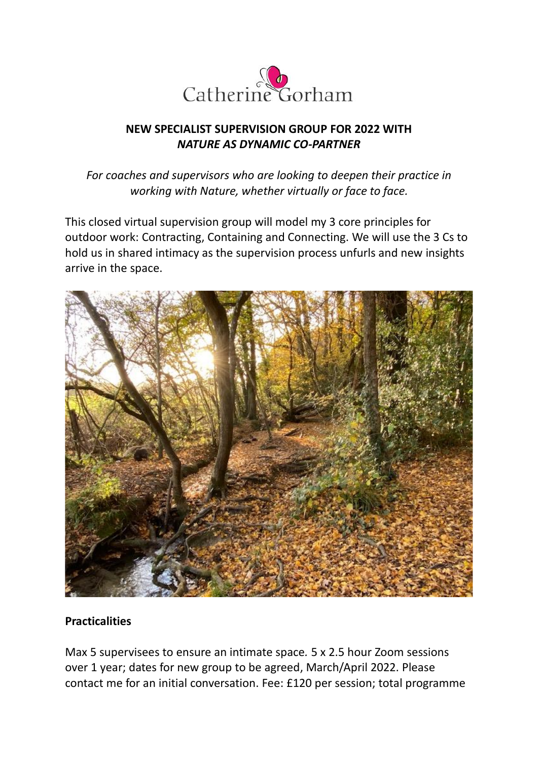

## **NEW SPECIALIST SUPERVISION GROUP FOR 2022 WITH** *NATURE AS DYNAMIC CO-PARTNER*

*For coaches and supervisors who are looking to deepen their practice in working with Nature, whether virtually or face to face.*

This closed virtual supervision group will model my 3 core principles for outdoor work: Contracting, Containing and Connecting. We will use the 3 Cs to hold us in shared intimacy as the supervision process unfurls and new insights arrive in the space.



#### **Practicalities**

Max 5 supervisees to ensure an intimate space*.* 5 x 2.5 hour Zoom sessions over 1 year; dates for new group to be agreed, March/April 2022. Please contact me for an initial conversation. Fee: £120 per session; total programme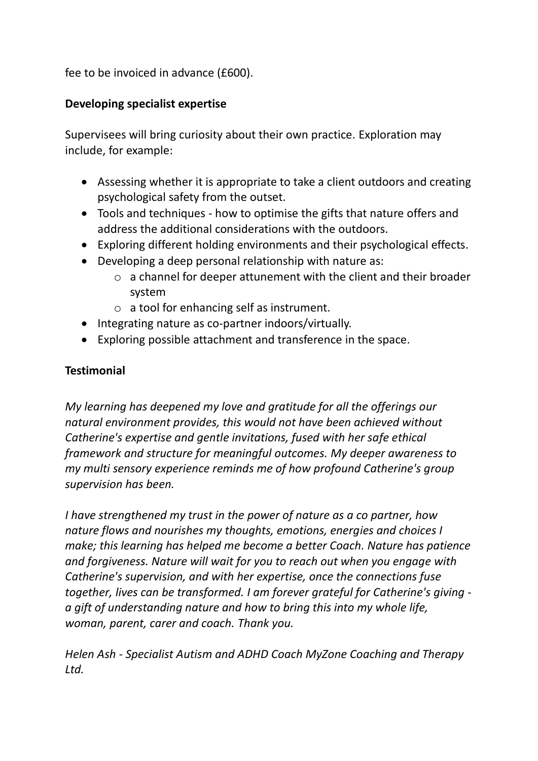fee to be invoiced in advance (£600).

### **Developing specialist expertise**

Supervisees will bring curiosity about their own practice. Exploration may include, for example:

- Assessing whether it is appropriate to take a client outdoors and creating psychological safety from the outset.
- Tools and techniques how to optimise the gifts that nature offers and address the additional considerations with the outdoors.
- Exploring different holding environments and their psychological effects.
- Developing a deep personal relationship with nature as:
	- o a channel for deeper attunement with the client and their broader system
	- o a tool for enhancing self as instrument.
- Integrating nature as co-partner indoors/virtually.
- Exploring possible attachment and transference in the space.

# **Testimonial**

*My learning has deepened my love and gratitude for all the offerings our natural environment provides, this would not have been achieved without Catherine's expertise and gentle invitations, fused with her safe ethical framework and structure for meaningful outcomes. My deeper awareness to my multi sensory experience reminds me of how profound Catherine's group supervision has been.*

*I have strengthened my trust in the power of nature as a co partner, how nature flows and nourishes my thoughts, emotions, energies and choices I make; this learning has helped me become a better Coach. Nature has patience and forgiveness. Nature will wait for you to reach out when you engage with Catherine's supervision, and with her expertise, once the connections fuse together, lives can be transformed. I am forever grateful for Catherine's giving a gift of understanding nature and how to bring this into my whole life, woman, parent, carer and coach. Thank you.*

*Helen Ash - Specialist Autism and ADHD Coach MyZone Coaching and Therapy Ltd.*